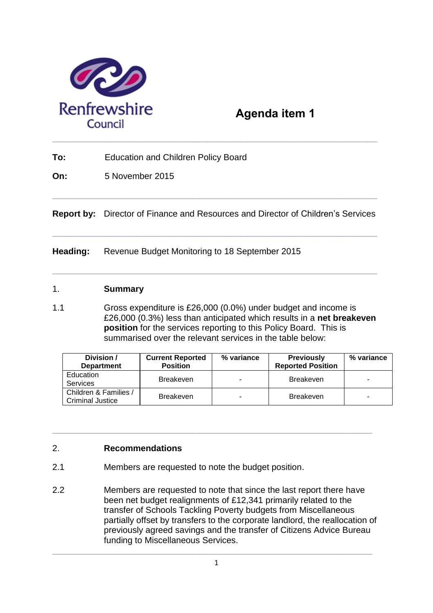

# **Agenda item 1**

**To:** Education and Children Policy Board

**On:** 5 November 2015

**Report by:** Director of Finance and Resources and Director of Children's Services

**\_\_\_\_\_\_\_\_\_\_\_\_\_\_\_\_\_\_\_\_\_\_\_\_\_\_\_\_\_\_\_\_\_\_\_\_\_\_\_\_\_\_\_\_\_\_\_\_\_\_\_\_\_\_\_\_\_\_\_\_\_\_\_\_\_\_\_** 

**\_\_\_\_\_\_\_\_\_\_\_\_\_\_\_\_\_\_\_\_\_\_\_\_\_\_\_\_\_\_\_\_\_\_\_\_\_\_\_\_\_\_\_\_\_\_\_\_\_\_\_\_\_\_\_\_\_\_\_\_\_\_\_\_\_\_\_** 

**\_\_\_\_\_\_\_\_\_\_\_\_\_\_\_\_\_\_\_\_\_\_\_\_\_\_\_\_\_\_\_\_\_\_\_\_\_\_\_\_\_\_\_\_\_\_\_\_\_\_\_\_\_\_\_\_\_\_\_\_\_\_\_\_\_\_\_** 

**Heading:** Revenue Budget Monitoring to 18 September 2015

### 1. **Summary**

1.1 Gross expenditure is £26,000 (0.0%) under budget and income is £26,000 (0.3%) less than anticipated which results in a **net breakeven position** for the services reporting to this Policy Board. This is summarised over the relevant services in the table below:

| Division /<br><b>Department</b>                  | <b>Current Reported</b><br><b>Position</b> | % variance | <b>Previously</b><br><b>Reported Position</b> | % variance |
|--------------------------------------------------|--------------------------------------------|------------|-----------------------------------------------|------------|
| Education<br><b>Services</b>                     | <b>Breakeven</b>                           | ۰          | <b>Breakeven</b>                              |            |
| Children & Families /<br><b>Criminal Justice</b> | <b>Breakeven</b>                           | ۰          | <b>Breakeven</b>                              | -          |

## 2. **Recommendations**

- 2.1 Members are requested to note the budget position.
- 2.2 Members are requested to note that since the last report there have been net budget realignments of £12,341 primarily related to the transfer of Schools Tackling Poverty budgets from Miscellaneous partially offset by transfers to the corporate landlord, the reallocation of previously agreed savings and the transfer of Citizens Advice Bureau funding to Miscellaneous Services.

**\_\_\_\_\_\_\_\_\_\_\_\_\_\_\_\_\_\_\_\_\_\_\_\_\_\_\_\_\_\_\_\_\_\_\_\_\_\_\_\_\_\_\_\_\_\_\_\_\_\_\_\_\_\_\_\_\_\_\_\_\_\_\_\_\_\_** 

**\_\_\_\_\_\_\_\_\_\_\_\_\_\_\_\_\_\_\_\_\_\_\_\_\_\_\_\_\_\_\_\_\_\_\_\_\_\_\_\_\_\_\_\_\_\_\_\_\_\_\_\_\_\_\_\_\_\_\_\_\_\_\_\_\_\_**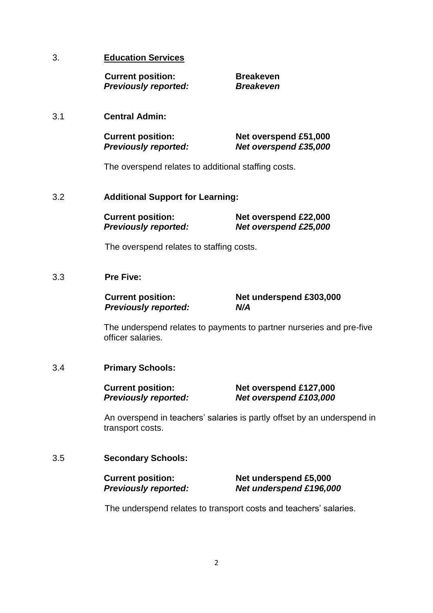### 3. **Education Services**

**Current position: Breakeven**  *Previously reported: Breakeven*

### 3.1 **Central Admin:**

| <b>Current position:</b>    | Net overspend £51,000 |
|-----------------------------|-----------------------|
| <b>Previously reported:</b> | Net overspend £35,000 |

The overspend relates to additional staffing costs.

### 3.2 **Additional Support for Learning:**

| <b>Current position:</b>    | Net overspend £22,000 |
|-----------------------------|-----------------------|
| <b>Previously reported:</b> | Net overspend £25,000 |

The overspend relates to staffing costs.

### 3.3 **Pre Five:**

*Previously reported: N/A* 

**Current position: Net underspend £303,000** 

The underspend relates to payments to partner nurseries and pre-five officer salaries.

### 3.4 **Primary Schools:**

**Current position: Net overspend £127,000**  *Previously reported: Net overspend £103,000*

An overspend in teachers' salaries is partly offset by an underspend in transport costs.

### 3.5 **Secondary Schools:**

| <b>Current position:</b>    | Net underspend £5,000   |
|-----------------------------|-------------------------|
| <b>Previously reported:</b> | Net underspend £196,000 |

The underspend relates to transport costs and teachers' salaries.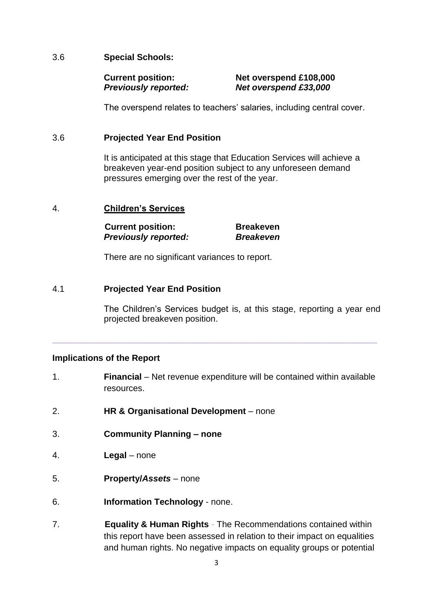### 3.6 **Special Schools:**

### **Current position: Net overspend £108,000**  *Previously reported: Net overspend £33,000*

The overspend relates to teachers' salaries, including central cover.

### 3.6 **Projected Year End Position**

It is anticipated at this stage that Education Services will achieve a breakeven year-end position subject to any unforeseen demand pressures emerging over the rest of the year.

### 4. **Children's Services**

**Current position: Breakeven**  *Previously reported: Breakeven*

There are no significant variances to report.

### 4.1 **Projected Year End Position**

The Children's Services budget is, at this stage, reporting a year end projected breakeven position.

### **Implications of the Report**

1. **Financial** – Net revenue expenditure will be contained within available resources.

**\_\_\_\_\_\_\_\_\_\_\_\_\_\_\_\_\_\_\_\_\_\_\_\_\_\_\_\_\_\_\_\_\_\_\_\_\_\_\_\_\_\_\_\_\_\_\_\_\_\_\_\_\_\_\_\_\_\_\_\_\_\_\_\_\_\_\_** 

- 2. **HR & Organisational Development** none
- 3. **Community Planning – none**
- 4. **Legal** none
- 5. **Property/***Assets* none
- 6. **Information Technology** none.
- 7. **Equality & Human Rights**The Recommendations contained within this report have been assessed in relation to their impact on equalities and human rights. No negative impacts on equality groups or potential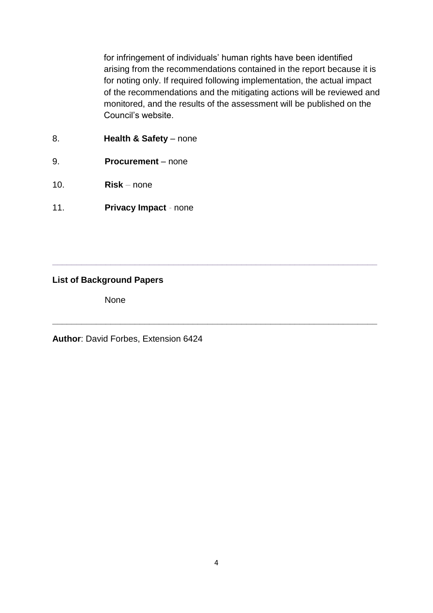for infringement of individuals' human rights have been identified arising from the recommendations contained in the report because it is for noting only. If required following implementation, the actual impact of the recommendations and the mitigating actions will be reviewed and monitored, and the results of the assessment will be published on the Council's website.

- 8. **Health & Safety** none
- 9. **Procurement** none
- 10. **Risk** *–* none
- 11. **Privacy Impact**none

### **List of Background Papers**

None

**Author**: David Forbes, Extension 6424

**\_\_\_\_\_\_\_\_\_\_\_\_\_\_\_\_\_\_\_\_\_\_\_\_\_\_\_\_\_\_\_\_\_\_\_\_\_\_\_\_\_\_\_\_\_\_\_\_\_\_\_\_\_\_\_\_\_\_\_\_\_\_\_\_\_\_\_** 

**\_\_\_\_\_\_\_\_\_\_\_\_\_\_\_\_\_\_\_\_\_\_\_\_\_\_\_\_\_\_\_\_\_\_\_\_\_\_\_\_\_\_\_\_\_\_\_\_\_\_\_\_\_\_\_\_\_\_\_\_\_\_\_\_\_\_\_**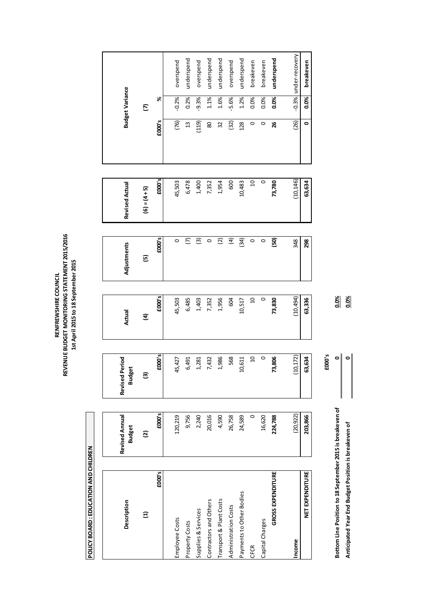RENFREWSHIRE COUNCIL<br>REVENUE BUDGET MONITORING STATEMENT 2015/2016<br>1st April 2015 to 18 September 2015 **REVENUE BUDGET MONITORING STATEMENT 2015/2016 1st April 2015 to 18 September 2015RENFREWSHIRE COUNCIL**

> POLICY BOARD : EDUCATION AND CHILDREN **POLICY BOARD : EDUCATION AND CHILDREN**

| Description                                               | Revised Annual<br><b>Budget</b> | Revised Period<br><b>Budget</b> | Actual         | Adjustments                            | <b>Revised Actual</b> |                | <b>Budget Variance</b> |                |
|-----------------------------------------------------------|---------------------------------|---------------------------------|----------------|----------------------------------------|-----------------------|----------------|------------------------|----------------|
| $\Xi$                                                     | $\overline{\mathfrak{D}}$       | $\widehat{\mathbf{E}}$          | E              | G                                      | $(6) = (4 + 5)$       |                | $\tilde{c}$            |                |
| £000's                                                    | £000's                          | £000's                          | £000's         | £000's                                 | £000's                | £000's         | ৯                      |                |
| Employee Costs                                            | 120,219                         | 45,427                          | 45,503         | $\circ$                                | 45,503                | (76)           | $-0.2%$                | overspend      |
| Property Costs                                            | 9,756                           | 6,491                           | 6,485          | $\overline{C}$                         | 6,478                 | $\mathfrak{a}$ | 0.2%                   | underspend     |
| Supplies & Services                                       | 2,240                           | 1,281                           | 1,403          | ම                                      | 1,400                 | (119)          | $-9.3%$                | overspend      |
| Contractors and Others                                    | 20,016                          | 7,432                           | 7,352          | $\circ$                                | 7,352                 | 80             | 1.1%                   | underspend     |
| Transport & Plant Costs                                   | 4,590                           | 1,986                           | 1,956          | $\widetilde{\boldsymbol{\mathcal{C}}}$ | 1,954                 | 32             | 1.6%                   | underspend     |
| Administration Costs                                      | 26,758                          | 568                             | 604            | $\mathfrak{E}$                         | 600                   | (32)           | $-5.6%$                | overspend      |
| Payments to Other Bodies                                  | 24,589                          | 10,611                          | 10,517         | (34)                                   | 10,483                | 128            | 1.2%                   | underspend     |
| CFCR                                                      | 0                               | g                               | $\overline{a}$ | $\circ$                                | $\Omega$              | $\circ$        | 0.0%                   | breakeven      |
| Capital Charges                                           | 16,620                          | $\circ$                         | $\circ$        | $\circ$                                | $\circ$               | $\circ$        | 0.0%                   | breakeven      |
| <b>GROSS EXPENDITURE</b>                                  | 224,788                         | 73,806                          | 73,830         | 69                                     | 73,780                | 26             | 0.0%                   | underspend     |
| Income                                                    | (20, 922)                       | (10, 172)                       | (10, 494)      | 348                                    | (10, 146)             | (26)           | $-0.3%$                | under-recovery |
| NET EXPENDITURE                                           | 203,866                         | 63,634                          | 63,336         | 298                                    | 63,634                | $\bullet$      | 0.0%                   | breakeven      |
|                                                           |                                 | £000's                          |                |                                        |                       |                |                        |                |
| Bottom Line Position to 18 September 2015 is breakeven of |                                 | $\bullet$                       | 0.0%           |                                        |                       |                |                        |                |
| Anticipated Year End Budget Position is breakeven of      |                                 | 0                               | 0.0%           |                                        |                       |                |                        |                |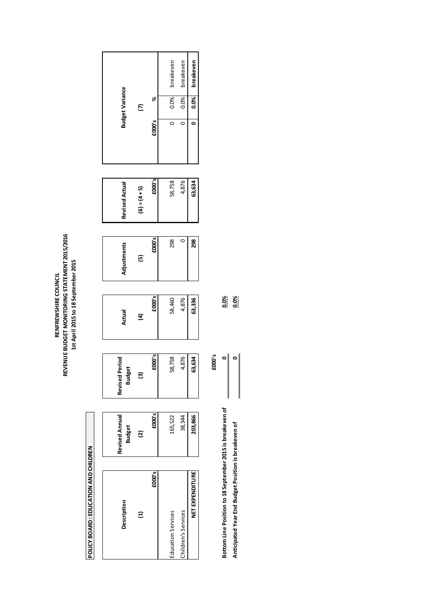# POLICY BOARD : EDUCATION AND CHILDREN **POLICY BOARD : EDUCATION AND CHILDREN**

 $\frac{88}{9}$ **Bottom Line Position to 18 September 2015 is breakeven of 0 0.0% Anticipated Year End Budget Position is breakeven of 0 0.0%**  $\circ$   $\circ$ 

Bottom Line Position to 18 September 2015 is breakeven of Anticipated Year End Budget Position is breakeven of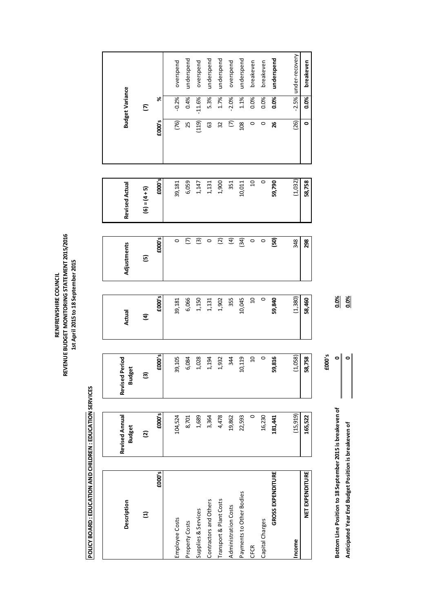| POLICY BOARD : EDUCATION AND CHILDREN : EDUCATION SERVICES |                                 |                                 | 1st April 2015 to 18 September 2015 |                          |                       |                |                        |                |
|------------------------------------------------------------|---------------------------------|---------------------------------|-------------------------------------|--------------------------|-----------------------|----------------|------------------------|----------------|
| Description                                                | Revised Annual<br><b>Budget</b> | Revised Period<br><b>Budget</b> | Actual                              | Adjustments              | <b>Revised Actual</b> |                | <b>Budget Variance</b> |                |
| $\Xi$                                                      | $\overline{\omega}$             | O                               | ਤ                                   | $\overline{6}$           | $(6) = (4 + 5)$       |                | E                      |                |
| £000's                                                     | £000's                          | £000's                          | £000's                              | £000's                   | £000's                | £000's         | %                      |                |
| Employee Costs                                             | 104,524                         | 39,105                          | 39,181                              | $\circ$                  | 39,181                | (76)           | $-0.2%$                | overspend      |
| Property Costs                                             | 8,701                           | 6,084                           | 6,066                               | $\overline{c}$           | 6,059                 | 25             | 0.4%                   | underspend     |
| Supplies & Services                                        | 1,689                           | 1,028                           | 1,150                               | $\widehat{\mathfrak{G}}$ | 1,147                 | (119)          | $-11.6%$               | overspend      |
| Contractors and Others                                     | 3,364                           | 1,194                           | 1,131                               | $\circ$                  | 1,131                 | යි             | 5.3%                   | underspend     |
| Transport & Plant Costs                                    | 4,478                           | 1,932                           | 1,902                               | $\widetilde{c}$          | 1,900                 | 32             | 1.7%                   | underspend     |
| Administration Costs                                       | 19,862                          | 344                             | 355                                 | $\mathfrak{D}$           | 351                   | $\overline{C}$ | $-2.0%$                | overspend      |
| Payments to Other Bodies                                   | 22,593                          | 10,119                          | 10,045                              | (34)                     | 10,011                | 108            | 1.1%                   | underspend     |
| <b>CFCR</b>                                                | $\circ$                         | $\Box$                          | $\mathsf{D}$                        | $\circ$                  | $\Xi$                 | $\circ$        | 0.0%                   | breakeven      |
| Capital Charges                                            | 16,230                          | $\circ$                         | 0                                   | $\circ$                  | $\circ$               | $\circ$        | 0.0%                   | breakeven      |
| <b>GROSS EXPENDITURE</b>                                   | 181,441                         | 59,816                          | 59,840                              | 69                       | 59,790                | 26             | 0.0%                   | underspend     |
| Income                                                     | (15, 919)                       | (1,058)                         | (1,380)                             | 348                      | (1,032)               | (26)           | $-2.5%$                | under-recovery |
| NET EXPENDITURE                                            | 165,522                         | 58,758                          | 58,460                              | 298                      | 58,758                | $\bullet$      | 0.0%                   | breakeven      |
|                                                            |                                 | £000's                          |                                     |                          |                       |                |                        |                |
| Bottom Line Position to 18 September 2015 is breakeven of  |                                 | ۰                               | 0.0%                                |                          |                       |                |                        |                |
| Anticipated Year End Budget Position is breakeven of       |                                 | $\circ$                         | 0.0%                                |                          |                       |                |                        |                |

s.<br>Su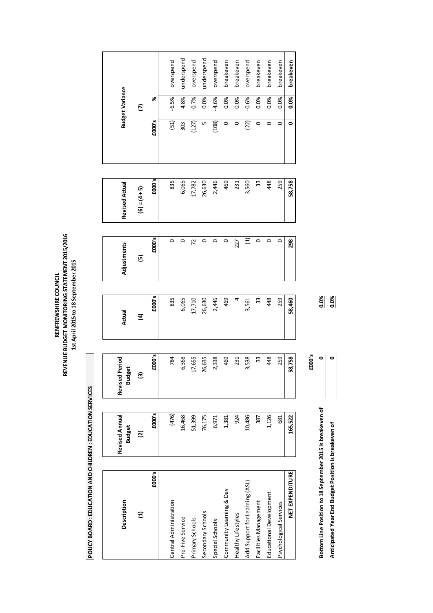RENFREWSHIRE COUNCIL<br>REVENUE BUDGET MONITORING STATEMENT 2015/2016<br>1st April 2015 to 18 September 2015 **REVENUE BUDGET MONITORING STATEMENT 2015/2016 1st April 2015 to 18 September 2015 RENFREWSHIRE COUNCIL**

> POLICY BOARD : EDUCATION AND CHILDREN : EDUCATION SERVICES **POLICY BOARD : EDUCATION AND CHILDREN : EDUCATION SERVICES**

| Description                                               | Revised Annual<br><b>Budget</b> | <b>Revised Period</b><br><b>Budget</b> | Actual | Adjustments | <b>Revised Actual</b> |         | <b>Budget Variance</b> |            |
|-----------------------------------------------------------|---------------------------------|----------------------------------------|--------|-------------|-----------------------|---------|------------------------|------------|
| $\Xi$                                                     | <u>ତ</u>                        | ම                                      | E      | 回           | $(6) = (4 + 5)$       |         | E                      |            |
| £000's                                                    | £000's                          | £000's                                 | £000's | £000's      | £000's                | £000's  | X                      |            |
| Central Administration                                    | (476)                           | 784                                    | 835    | $\circ$     | 835                   | (51)    | $-6.5%$                | overspend  |
| Pre-Five Service                                          | 16,468                          | 6,368                                  | 6,065  | $\circ$     | 6,065                 | 303     | 4.8%                   | underspend |
| Primary Schools                                           | 51,399                          | 17,655                                 | 17,710 | 72          | 17,782                | (127)   | $-0.7%$                | overspend  |
| Secondary Schools                                         | 76,175                          | 26,635                                 | 26,630 | $\circ$     | 26,630                | LŊ      | 0.0%                   | underspend |
| Special Schools                                           | 6,971                           | 2,338                                  | 2,446  | $\circ$     | 2,446                 | (108)   | $-4.6%$                | overspend  |
| Community Learning & Dev                                  | 1,381                           | 469                                    | 469    | $\circ$     | 469                   | $\circ$ | 0.0%                   | breakeven  |
| Healthy Lifestyles                                        | 924                             | 231                                    | 4      | 227         | 231                   | $\circ$ | 0.0%                   | breakeven  |
| Add Support for Learning (ASL)                            | 10,486                          | 3,538                                  | 3,561  | $\Xi$       | 3,560                 | (22)    | $-0.6%$                | overspend  |
| Facilities Management                                     | 387                             | 33                                     | 33     | $\circ$     | 33                    | $\circ$ | 0.0%                   | breakeven  |
| Educational Development                                   | 1,126                           | 448                                    | 48     | $\circ$     | 448                   | $\circ$ | 0.0%                   | breakeven  |
| Psychological Services                                    | 681                             | 259                                    | 259    | $\circ$     | 259                   | 0       | 0.0%                   | breakeven  |
| NET EXPENDITURE                                           | 165,522                         | 58,758                                 | 58,460 | 298         | 58,758                | 0       | 0.0%                   | breakeven  |
|                                                           |                                 | £000's                                 |        |             |                       |         |                        |            |
| Bottom Line Position to 18 September 2015 is breakeven of |                                 | 0                                      | 0.0%   |             |                       |         |                        |            |
| Anticipated Year End Budget Position is breakeven of      |                                 | 0                                      | 0.0%   |             |                       |         |                        |            |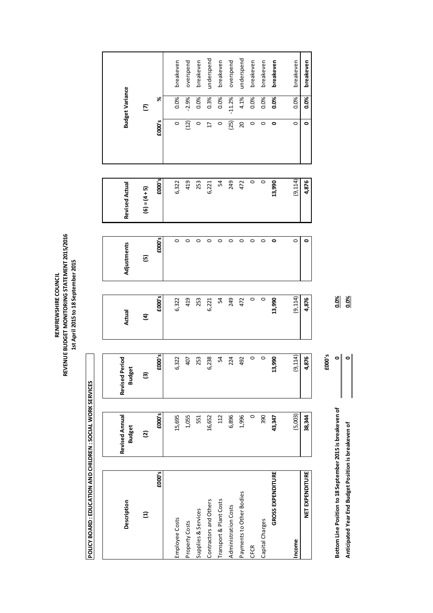| POLICY BOARD : EDUCATION AND CHILDREN : SOCIAL WORK SERVICES |                                 |                                              | 1st April 2015 to 18 September 2015 |             |                       |                 |                        |            |  |
|--------------------------------------------------------------|---------------------------------|----------------------------------------------|-------------------------------------|-------------|-----------------------|-----------------|------------------------|------------|--|
| Description                                                  | Revised Annual<br><b>Budget</b> | <b>Period</b><br>lget<br>Revised<br>3<br>Bud | Actual                              | Adjustments | <b>Revised Actual</b> |                 | <b>Budget Variance</b> |            |  |
| $\Xi$                                                        | $\overline{\omega}$             | ම                                            | <u>a</u>                            | 回           | $(6) = (4 + 5)$       |                 | E                      |            |  |
| £000's                                                       | £000's                          | £000's                                       | £000's                              | £000's      | £000's                | £000's          | ৯                      |            |  |
| Employee Costs                                               | 15,695                          | 6,322                                        | 6,322                               | $\circ$     | 6,322                 | $\circ$         | 0.0%                   | breakeven  |  |
| Property Costs                                               | 1,055                           | 407                                          | 419                                 | $\circ$     | 419                   | (12)            | $-2.9%$                | overspend  |  |
| Supplies & Services                                          | 551                             | 253                                          | 253                                 | $\circ$     | 253                   | $\circ$         | 0.0%                   | breakeven  |  |
| Contractors and Others                                       | 16,652                          | 6,238                                        | 6,221                               | $\circ$     | 6,221                 | $\overline{17}$ | 0.3%                   | underspend |  |
| Transport & Plant Costs                                      | 112                             | 54                                           | r,                                  | $\circ$     | R                     | $\circ$         | 0.0%                   | breakeven  |  |
| Administration Costs                                         | 6,896                           | 224                                          | 249                                 | $\circ$     | 249                   | (25)            | $-11.2%$               | overspend  |  |
| Payments to Other Bodies                                     | 1,996                           | 492                                          | 472                                 | $\circ$     | 472                   | $\overline{c}$  | 4.1%                   | underspend |  |
| CFCR                                                         | $\circ$                         | $\circ$                                      | $\circ$                             | $\circ$     | $\circ$               | $\circ$         | 0.0%                   | breakeven  |  |
| Capital Charges                                              | 390                             | $\circ$                                      | $\circ$                             | $\circ$     | $\circ$               | $\circ$         | 0.0%                   | breakeven  |  |
| <b>GROSS EXPENDITURE</b>                                     | 43,347                          | 13,990                                       | 13,990                              | ۰           | 13,990                | $\bullet$       | 0.0%                   | breakeven  |  |
| Income                                                       | (5,003)                         | (9, 114)                                     | (9, 114)                            | $\circ$     | (9, 114)              | $\circ$         | 0.0%                   | breakeven  |  |
| NET EXPENDITURE                                              | 38,344                          | 4,876                                        | 4,876                               | 0           | 4,876                 | ۰               | 0.0%                   | breakeven  |  |
|                                                              |                                 | £000's                                       |                                     |             |                       |                 |                        |            |  |
| Bottom Line Position to 18 September 2015 is breakeven of    |                                 | 0                                            | 0.0%                                |             |                       |                 |                        |            |  |
| Anticipated Year End Budget Position is breakeven of         |                                 | $\bullet$                                    | 0.0%                                |             |                       |                 |                        |            |  |